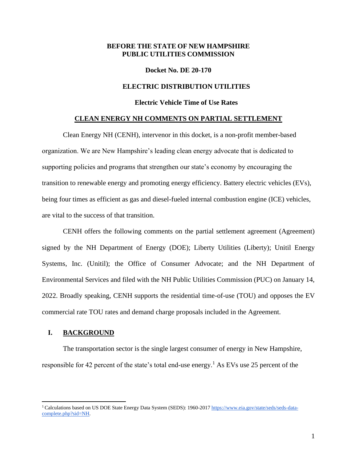### **BEFORE THE STATE OF NEW HAMPSHIRE PUBLIC UTILITIES COMMISSION**

#### **Docket No. DE 20-170**

## **ELECTRIC DISTRIBUTION UTILITIES**

## **Electric Vehicle Time of Use Rates**

#### **CLEAN ENERGY NH COMMENTS ON PARTIAL SETTLEMENT**

Clean Energy NH (CENH), intervenor in this docket, is a non-profit member-based organization. We are New Hampshire's leading clean energy advocate that is dedicated to supporting policies and programs that strengthen our state's economy by encouraging the transition to renewable energy and promoting energy efficiency. Battery electric vehicles (EVs), being four times as efficient as gas and diesel-fueled internal combustion engine (ICE) vehicles, are vital to the success of that transition.

CENH offers the following comments on the partial settlement agreement (Agreement) signed by the NH Department of Energy (DOE); Liberty Utilities (Liberty); Unitil Energy Systems, Inc. (Unitil); the Office of Consumer Advocate; and the NH Department of Environmental Services and filed with the NH Public Utilities Commission (PUC) on January 14, 2022. Broadly speaking, CENH supports the residential time-of-use (TOU) and opposes the EV commercial rate TOU rates and demand charge proposals included in the Agreement.

## **I. BACKGROUND**

The transportation sector is the single largest consumer of energy in New Hampshire, responsible for 42 percent of the state's total end-use energy.<sup>1</sup> As EVs use 25 percent of the

<sup>&</sup>lt;sup>1</sup> Calculations based on US DOE State Energy Data System (SEDS): 1960-201[7](https://www.eia.gov/state/seds/seds-data-complete.php?sid=NH) [https://www.eia.gov/state/seds/seds-data](https://www.eia.gov/state/seds/seds-data-complete.php?sid=NH)[complete.php?sid=NH.](https://www.eia.gov/state/seds/seds-data-complete.php?sid=NH)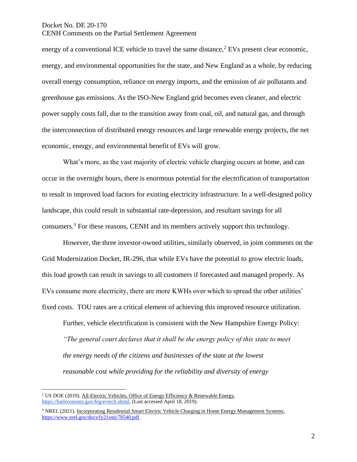energy of a conventional ICE vehicle to travel the same distance, $2$  EVs present clear economic, energy, and environmental opportunities for the state, and New England as a whole, by reducing overall energy consumption, reliance on energy imports, and the emission of air pollutants and greenhouse gas emissions. As the ISO-New England grid becomes even cleaner, and electric power supply costs fall, due to the transition away from coal, oil, and natural gas, and through the interconnection of distributed energy resources and large renewable energy projects, the net economic, energy, and environmental benefit of EVs will grow.

What's more, as the vast majority of electric vehicle charging occurs at home, and can occur in the overnight hours, there is enormous potential for the electrification of transportation to result in improved load factors for existing electricity infrastructure. In a well-designed policy landscape, this could result in substantial rate-depression, and resultant savings for all consumers.<sup>3</sup> For these reasons, CENH and its members actively support this technology.

However, the three investor-owned utilities, similarly observed, in joint comments on the Grid Modernization Docket, IR-296, that while EVs have the potential to grow electric loads, this load growth can result in savings to all customers if forecasted and managed properly. As EVs consume more electricity, there are more KWHs over which to spread the other utilities' fixed costs. TOU rates are a critical element of achieving this improved resource utilization.

Further, vehicle electrification is consistent with the New Hampshire Energy Policy: *"The general court declares that it shall be the energy policy of this state to meet the energy needs of the citizens and businesses of the state at the lowest reasonable cost while providing for the reliability and diversity of energy* 

<sup>&</sup>lt;sup>2</sup> US DOE (2019). All-Electric Vehicles, Office of Energy Efficiency & Renewable Energ[y,](https://fueleconomy.gov/feg/evtech.shtml) [https://fueleconomy.gov/feg/evtech.shtml,](https://fueleconomy.gov/feg/evtech.shtml) (Last accessed April 18, 2019).

<sup>&</sup>lt;sup>3</sup> NREL (2021). Incorporating Residential Smart Electric Vehicle Charging in Home Energy Management Systems, [https://www.nrel.gov/docs/fy21osti/78540.pdf.](https://www.nrel.gov/docs/fy21osti/78540.pdf)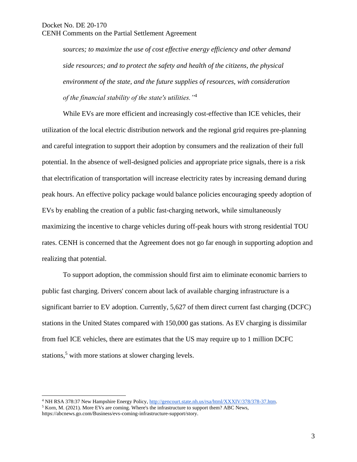*sources; to maximize the use of cost effective energy efficiency and other demand side resources; and to protect the safety and health of the citizens, the physical environment of the state, and the future supplies of resources, with consideration of the financial stability of the state's utilities."*<sup>4</sup>

While EVs are more efficient and increasingly cost-effective than ICE vehicles, their utilization of the local electric distribution network and the regional grid requires pre-planning and careful integration to support their adoption by consumers and the realization of their full potential. In the absence of well-designed policies and appropriate price signals, there is a risk that electrification of transportation will increase electricity rates by increasing demand during peak hours. An effective policy package would balance policies encouraging speedy adoption of EVs by enabling the creation of a public fast-charging network, while simultaneously maximizing the incentive to charge vehicles during off-peak hours with strong residential TOU rates. CENH is concerned that the Agreement does not go far enough in supporting adoption and realizing that potential.

To support adoption, the commission should first aim to eliminate economic barriers to public fast charging. Drivers' concern about lack of available charging infrastructure is a significant barrier to EV adoption. Currently, 5,627 of them direct current fast charging (DCFC) stations in the United States compared with 150,000 gas stations. As EV charging is dissimilar from fuel ICE vehicles, there are estimates that the US may require up to 1 million DCFC stations,<sup>5</sup> with more stations at slower charging levels.

<sup>4</sup> NH RSA 378:37 New Hampshire Energy Policy[,](http://gencourt.state.nh.us/rsa/html/XXXIV/378/378-37.htm) [http://gencourt.state.nh.us/rsa/html/XXXIV/378/378-37.htm.](http://gencourt.state.nh.us/rsa/html/XXXIV/378/378-37.htm)

<sup>5</sup> Korn, M. (2021). More EVs are coming. Where's the infrastructure to support them? ABC News, [https://abcnews.go.com/Business/evs-coming-infrastructure-support/story.](https://abcnews.go.com/Business/evs-coming-infrastructure-support/story)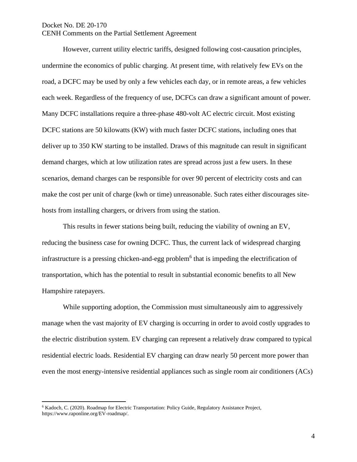However, current utility electric tariffs, designed following cost-causation principles, undermine the economics of public charging. At present time, with relatively few EVs on the road, a DCFC may be used by only a few vehicles each day, or in remote areas, a few vehicles each week. Regardless of the frequency of use, DCFCs can draw a significant amount of power. Many DCFC installations require a three-phase 480-volt AC electric circuit. Most existing DCFC stations are 50 kilowatts (KW) with much faster DCFC stations, including ones that deliver up to 350 KW starting to be installed. Draws of this magnitude can result in significant demand charges, which at low utilization rates are spread across just a few users. In these scenarios, demand charges can be responsible for over 90 percent of electricity costs and can make the cost per unit of charge (kwh or time) unreasonable. Such rates either discourages sitehosts from installing chargers, or drivers from using the station.

This results in fewer stations being built, reducing the viability of owning an EV, reducing the business case for owning DCFC. Thus, the current lack of widespread charging infrastructure is a pressing chicken-and-egg problem<sup>6</sup> that is impeding the electrification of transportation, which has the potential to result in substantial economic benefits to all New Hampshire ratepayers.

While supporting adoption, the Commission must simultaneously aim to aggressively manage when the vast majority of EV charging is occurring in order to avoid costly upgrades to the electric distribution system. EV charging can represent a relatively draw compared to typical residential electric loads. Residential EV charging can draw nearly 50 percent more power than even the most energy-intensive residential appliances such as single room air conditioners (ACs)

<sup>6</sup> Kadoch, C. (2020). Roadmap for Electric Transportation: Policy Guide, Regulatory Assistance Projec[t,](http://www.raponline.org/EV-roadmap) [https://www.raponline.org/EV-roadmap/.](http://www.raponline.org/EV-roadmap)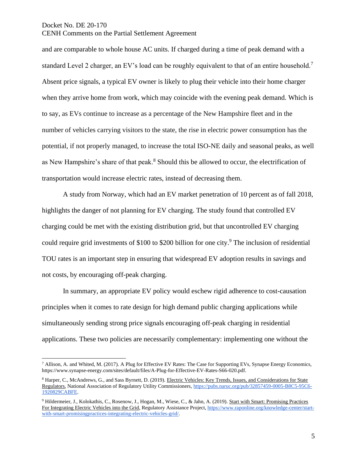and are comparable to whole house AC units. If charged during a time of peak demand with a standard Level 2 charger, an EV's load can be roughly equivalent to that of an entire household.<sup>7</sup> Absent price signals, a typical EV owner is likely to plug their vehicle into their home charger when they arrive home from work, which may coincide with the evening peak demand. Which is to say, as EVs continue to increase as a percentage of the New Hampshire fleet and in the number of vehicles carrying visitors to the state, the rise in electric power consumption has the potential, if not properly managed, to increase the total ISO-NE daily and seasonal peaks, as well as New Hampshire's share of that peak.<sup>8</sup> Should this be allowed to occur, the electrification of transportation would increase electric rates, instead of decreasing them.

A study from Norway, which had an EV market penetration of 10 percent as of fall 2018, highlights the danger of not planning for EV charging. The study found that controlled EV charging could be met with the existing distribution grid, but that uncontrolled EV charging could require grid investments of \$100 to \$200 billion for one city.<sup>9</sup> The inclusion of residential TOU rates is an important step in ensuring that widespread EV adoption results in savings and not costs, by encouraging off-peak charging.

In summary, an appropriate EV policy would eschew rigid adherence to cost-causation principles when it comes to rate design for high demand public charging applications while simultaneously sending strong price signals encouraging off-peak charging in residential applications. These two policies are necessarily complementary: implementing one without the

<sup>7</sup> Allison, A. and Whited, M. (2017). A Plug for Effective EV Rates: The Case for Supporting EVs, Synapse Energy Economic[s,](https://www.synapse-energy.com/sites/default/files/A-Plug-for-Effective-EV-Rates-S66-020.pdf) [https://www.synapse-energy.com/sites/default/files/A-Plug-for-Effective-EV-Rates-S66-020.pdf.](https://www.synapse-energy.com/sites/default/files/A-Plug-for-Effective-EV-Rates-S66-020.pdf)

<sup>8</sup> Harper, C., McAndrews, G., and Sass Byrnett, D. (2019). Electric Vehicles: Key Trends, Issues, and Considerations for State Regulators, National Association of Regulatory Utility Commissioner[s,](https://pubs.naruc.org/pub/32857459-0005-B8C5-95C6-1920829CABFE) [https://pubs.naruc.org/pub/32857459-0005-B8C5-95C6-](https://pubs.naruc.org/pub/32857459-0005-B8C5-95C6-1920829CABFE) [1920829CABFE.](https://pubs.naruc.org/pub/32857459-0005-B8C5-95C6-1920829CABFE)

<sup>&</sup>lt;sup>9</sup> Hildermeier, J., Kolokathis, C., Rosenow, J., Hogan, M., Wiese, C., & Jahn, A. (2019). Start with Smart: Promising Practices For Integrating Electric Vehicles into the Grid, Regulatory Assistance Projec[t,](https://www.raponline.org/knowledge-center/start-with-smart-promisingpractices-integrating-electric-vehicles-grid/) [https://www.raponline.org/knowledge-center/start](https://www.raponline.org/knowledge-center/start-with-smart-promisingpractices-integrating-electric-vehicles-grid/)[with-smart-promisingpractices-integrating-electric-vehicles-grid/.](https://www.raponline.org/knowledge-center/start-with-smart-promisingpractices-integrating-electric-vehicles-grid/)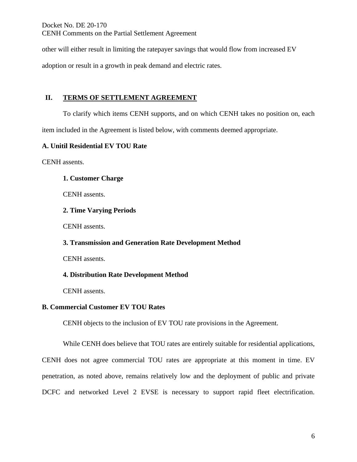other will either result in limiting the ratepayer savings that would flow from increased EV

adoption or result in a growth in peak demand and electric rates.

# **II. TERMS OF SETTLEMENT AGREEMENT**

To clarify which items CENH supports, and on which CENH takes no position on, each item included in the Agreement is listed below, with comments deemed appropriate.

# **A. Unitil Residential EV TOU Rate**

CENH assents.

# **1. Customer Charge**

CENH assents.

# **2. Time Varying Periods**

CENH assents.

# **3. Transmission and Generation Rate Development Method**

CENH assents.

# **4. Distribution Rate Development Method**

CENH assents.

# **B. Commercial Customer EV TOU Rates**

CENH objects to the inclusion of EV TOU rate provisions in the Agreement.

While CENH does believe that TOU rates are entirely suitable for residential applications, CENH does not agree commercial TOU rates are appropriate at this moment in time. EV penetration, as noted above, remains relatively low and the deployment of public and private DCFC and networked Level 2 EVSE is necessary to support rapid fleet electrification.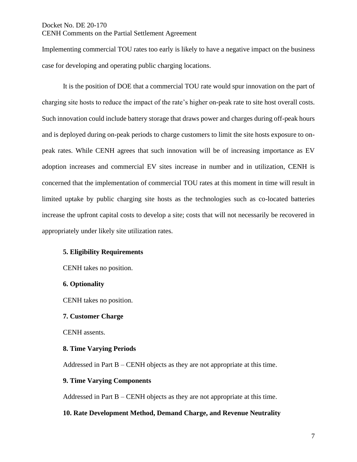Implementing commercial TOU rates too early is likely to have a negative impact on the business case for developing and operating public charging locations.

It is the position of DOE that a commercial TOU rate would spur innovation on the part of charging site hosts to reduce the impact of the rate's higher on-peak rate to site host overall costs. Such innovation could include battery storage that draws power and charges during off-peak hours and is deployed during on-peak periods to charge customers to limit the site hosts exposure to onpeak rates. While CENH agrees that such innovation will be of increasing importance as EV adoption increases and commercial EV sites increase in number and in utilization, CENH is concerned that the implementation of commercial TOU rates at this moment in time will result in limited uptake by public charging site hosts as the technologies such as co-located batteries increase the upfront capital costs to develop a site; costs that will not necessarily be recovered in appropriately under likely site utilization rates.

## **5. Eligibility Requirements**

CENH takes no position.

#### **6. Optionality**

CENH takes no position.

#### **7. Customer Charge**

CENH assents.

#### **8. Time Varying Periods**

Addressed in Part B – CENH objects as they are not appropriate at this time.

#### **9. Time Varying Components**

Addressed in Part B – CENH objects as they are not appropriate at this time.

## **10. Rate Development Method, Demand Charge, and Revenue Neutrality**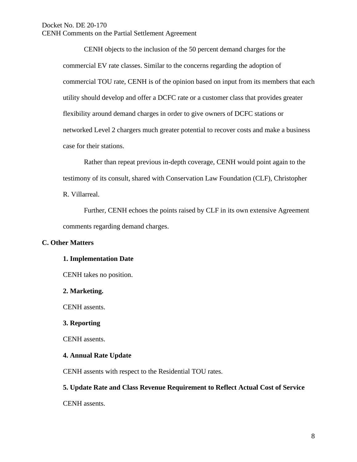CENH objects to the inclusion of the 50 percent demand charges for the commercial EV rate classes. Similar to the concerns regarding the adoption of commercial TOU rate, CENH is of the opinion based on input from its members that each utility should develop and offer a DCFC rate or a customer class that provides greater flexibility around demand charges in order to give owners of DCFC stations or networked Level 2 chargers much greater potential to recover costs and make a business case for their stations.

Rather than repeat previous in-depth coverage, CENH would point again to the testimony of its consult, shared with Conservation Law Foundation (CLF), Christopher R. Villarreal.

Further, CENH echoes the points raised by CLF in its own extensive Agreement comments regarding demand charges.

## **C. Other Matters**

#### **1. Implementation Date**

CENH takes no position.

**2. Marketing.** 

CENH assents.

#### **3. Reporting**

CENH assents.

#### **4. Annual Rate Update**

CENH assents with respect to the Residential TOU rates.

## **5. Update Rate and Class Revenue Requirement to Reflect Actual Cost of Service**

CENH assents.